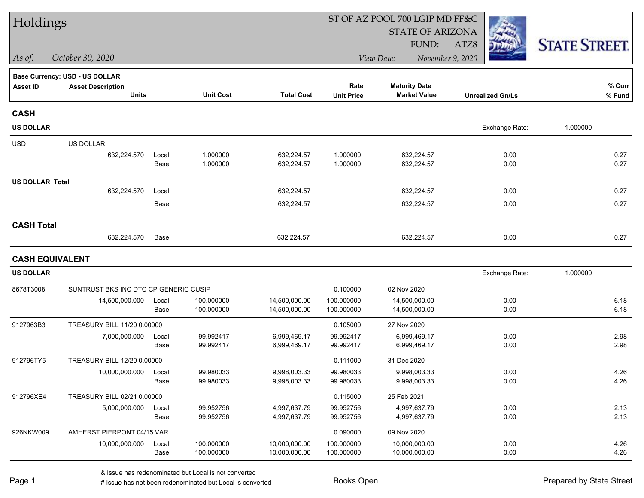| Holdings               |                                       |       |                  |                   | ST OF AZ POOL 700 LGIP MD FF&C |                                |                         |                      |  |
|------------------------|---------------------------------------|-------|------------------|-------------------|--------------------------------|--------------------------------|-------------------------|----------------------|--|
|                        |                                       |       |                  |                   |                                | <b>STATE OF ARIZONA</b>        |                         |                      |  |
|                        |                                       |       |                  |                   |                                | FUND:                          | ATZ8                    | <b>STATE STREET.</b> |  |
| $\vert$ As of:         | October 30, 2020                      |       |                  |                   |                                | November 9, 2020<br>View Date: |                         |                      |  |
|                        | <b>Base Currency: USD - US DOLLAR</b> |       |                  |                   |                                |                                |                         |                      |  |
| <b>Asset ID</b>        | <b>Asset Description</b>              |       |                  |                   | Rate                           | <b>Maturity Date</b>           |                         | % Curr               |  |
|                        | <b>Units</b>                          |       | <b>Unit Cost</b> | <b>Total Cost</b> | <b>Unit Price</b>              | <b>Market Value</b>            | <b>Unrealized Gn/Ls</b> | % Fund               |  |
| <b>CASH</b>            |                                       |       |                  |                   |                                |                                |                         |                      |  |
| <b>US DOLLAR</b>       |                                       |       |                  |                   |                                |                                | Exchange Rate:          | 1.000000             |  |
| <b>USD</b>             | US DOLLAR                             |       |                  |                   |                                |                                |                         |                      |  |
|                        | 632,224.570                           | Local | 1.000000         | 632,224.57        | 1.000000                       | 632,224.57                     | 0.00                    | 0.27                 |  |
|                        |                                       | Base  | 1.000000         | 632,224.57        | 1.000000                       | 632,224.57                     | 0.00                    | 0.27                 |  |
| <b>US DOLLAR Total</b> |                                       |       |                  |                   |                                |                                |                         |                      |  |
|                        | 632,224.570                           | Local |                  | 632,224.57        |                                | 632,224.57                     | 0.00                    | 0.27                 |  |
|                        |                                       | Base  |                  | 632,224.57        |                                | 632,224.57                     | 0.00                    | 0.27                 |  |
| <b>CASH Total</b>      |                                       |       |                  |                   |                                |                                |                         |                      |  |
|                        | 632,224.570                           | Base  |                  | 632,224.57        |                                | 632,224.57                     | 0.00                    | 0.27                 |  |
| <b>CASH EQUIVALENT</b> |                                       |       |                  |                   |                                |                                |                         |                      |  |
| <b>US DOLLAR</b>       |                                       |       |                  |                   |                                |                                | Exchange Rate:          | 1.000000             |  |
| 8678T3008              | SUNTRUST BKS INC DTC CP GENERIC CUSIP |       |                  |                   | 0.100000                       | 02 Nov 2020                    |                         |                      |  |
|                        | 14,500,000.000                        | Local | 100.000000       | 14,500,000.00     | 100.000000                     | 14,500,000.00                  | 0.00                    | 6.18                 |  |
|                        |                                       | Base  | 100.000000       | 14,500,000.00     | 100.000000                     | 14,500,000.00                  | 0.00                    | 6.18                 |  |
| 9127963B3              | TREASURY BILL 11/20 0.00000           |       |                  |                   | 0.105000                       | 27 Nov 2020                    |                         |                      |  |
|                        | 7,000,000.000                         | Local | 99.992417        | 6,999,469.17      | 99.992417                      | 6,999,469.17                   | 0.00                    | 2.98                 |  |
|                        |                                       | Base  | 99.992417        | 6,999,469.17      | 99.992417                      | 6,999,469.17                   | 0.00                    | 2.98                 |  |
| 912796TY5              | TREASURY BILL 12/20 0.00000           |       |                  |                   | 0.111000                       | 31 Dec 2020                    |                         |                      |  |
|                        | 10,000,000.000                        | Local | 99.980033        | 9,998,003.33      | 99.980033                      | 9,998,003.33                   | 0.00                    | 4.26                 |  |
|                        |                                       | Base  | 99.980033        | 9,998,003.33      | 99.980033                      | 9,998,003.33                   | 0.00                    | 4.26                 |  |
| 912796XE4              | TREASURY BILL 02/21 0.00000           |       |                  |                   | 0.115000                       | 25 Feb 2021                    |                         |                      |  |
|                        | 5,000,000.000                         | Local | 99.952756        | 4,997,637.79      | 99.952756                      | 4,997,637.79                   | 0.00                    | 2.13                 |  |
|                        |                                       | Base  | 99.952756        | 4,997,637.79      | 99.952756                      | 4,997,637.79                   | 0.00                    | 2.13                 |  |
| 926NKW009              | AMHERST PIERPONT 04/15 VAR            |       |                  |                   | 0.090000                       | 09 Nov 2020                    |                         |                      |  |
|                        | 10,000,000.000                        | Local | 100.000000       | 10,000,000.00     | 100.000000                     | 10,000,000.00                  | 0.00                    | 4.26                 |  |
|                        |                                       | Base  | 100.000000       | 10,000,000.00     | 100.000000                     | 10,000,000.00                  | 0.00                    | 4.26                 |  |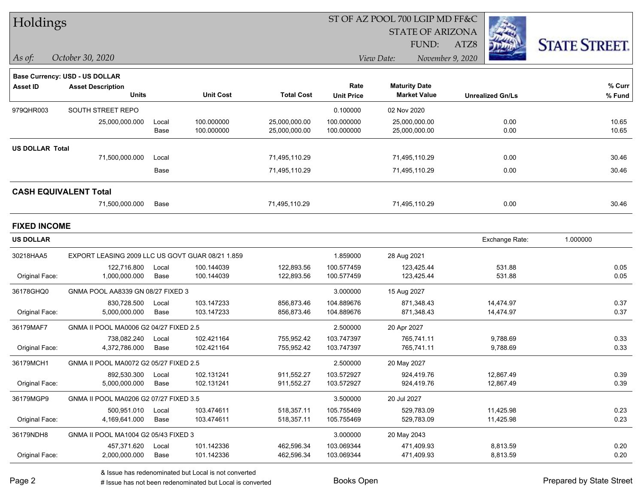| Holdings               |                                                  |       |                  |                   |                   | ST OF AZ POOL 700 LGIP MD FF&C |                         |                      |  |
|------------------------|--------------------------------------------------|-------|------------------|-------------------|-------------------|--------------------------------|-------------------------|----------------------|--|
|                        |                                                  |       |                  |                   |                   | <b>STATE OF ARIZONA</b>        |                         |                      |  |
|                        |                                                  |       |                  |                   |                   | FUND:                          | ATZ8                    | <b>STATE STREET.</b> |  |
| As of:                 | October 30, 2020                                 |       |                  |                   |                   | View Date:                     | November 9, 2020        |                      |  |
|                        | <b>Base Currency: USD - US DOLLAR</b>            |       |                  |                   |                   |                                |                         |                      |  |
| <b>Asset ID</b>        | <b>Asset Description</b>                         |       |                  |                   | Rate              | <b>Maturity Date</b>           |                         | % Curr               |  |
|                        | <b>Units</b>                                     |       | <b>Unit Cost</b> | <b>Total Cost</b> | <b>Unit Price</b> | <b>Market Value</b>            | <b>Unrealized Gn/Ls</b> | % Fund               |  |
| 979QHR003              | SOUTH STREET REPO                                |       |                  |                   | 0.100000          | 02 Nov 2020                    |                         |                      |  |
|                        | 25,000,000.000                                   | Local | 100.000000       | 25,000,000.00     | 100.000000        | 25,000,000.00                  | 0.00                    | 10.65                |  |
|                        |                                                  | Base  | 100.000000       | 25,000,000.00     | 100.000000        | 25,000,000.00                  | 0.00                    | 10.65                |  |
| <b>US DOLLAR Total</b> |                                                  |       |                  |                   |                   |                                |                         |                      |  |
|                        | 71,500,000.000                                   | Local |                  | 71,495,110.29     |                   | 71,495,110.29                  | 0.00                    | 30.46                |  |
|                        |                                                  | Base  |                  | 71,495,110.29     |                   | 71,495,110.29                  | 0.00                    | 30.46                |  |
|                        | <b>CASH EQUIVALENT Total</b>                     |       |                  |                   |                   |                                |                         |                      |  |
|                        | 71,500,000.000                                   | Base  |                  | 71,495,110.29     |                   | 71,495,110.29                  | 0.00                    | 30.46                |  |
| <b>FIXED INCOME</b>    |                                                  |       |                  |                   |                   |                                |                         |                      |  |
| <b>US DOLLAR</b>       |                                                  |       |                  |                   |                   |                                | Exchange Rate:          | 1.000000             |  |
| 30218HAA5              | EXPORT LEASING 2009 LLC US GOVT GUAR 08/21 1.859 |       |                  |                   | 1.859000          | 28 Aug 2021                    |                         |                      |  |
|                        | 122,716.800                                      | Local | 100.144039       | 122,893.56        | 100.577459        | 123,425.44                     | 531.88                  | 0.05                 |  |
| Original Face:         | 1,000,000.000                                    | Base  | 100.144039       | 122,893.56        | 100.577459        | 123,425.44                     | 531.88                  | 0.05                 |  |
| 36178GHQ0              | GNMA POOL AA8339 GN 08/27 FIXED 3                |       |                  |                   | 3.000000          | 15 Aug 2027                    |                         |                      |  |
|                        | 830,728.500                                      | Local | 103.147233       | 856,873.46        | 104.889676        | 871,348.43                     | 14,474.97               | 0.37                 |  |
| Original Face:         | 5,000,000.000                                    | Base  | 103.147233       | 856,873.46        | 104.889676        | 871,348.43                     | 14,474.97               | 0.37                 |  |
| 36179MAF7              | GNMA II POOL MA0006 G2 04/27 FIXED 2.5           |       |                  |                   | 2.500000          | 20 Apr 2027                    |                         |                      |  |
|                        | 738,082.240                                      | Local | 102.421164       | 755,952.42        | 103.747397        | 765,741.11                     | 9,788.69                | 0.33                 |  |
| Original Face:         | 4,372,786.000                                    | Base  | 102.421164       | 755,952.42        | 103.747397        | 765,741.11                     | 9,788.69                | 0.33                 |  |
| 36179MCH1              | GNMA II POOL MA0072 G2 05/27 FIXED 2.5           |       |                  |                   | 2.500000          | 20 May 2027                    |                         |                      |  |
|                        | 892,530.300                                      | Local | 102.131241       | 911,552.27        | 103.572927        | 924,419.76                     | 12,867.49               | 0.39                 |  |
| Original Face:         | 5,000,000.000                                    | Base  | 102.131241       | 911,552.27        | 103.572927        | 924,419.76                     | 12,867.49               | 0.39                 |  |
| 36179MGP9              | GNMA II POOL MA0206 G2 07/27 FIXED 3.5           |       |                  |                   | 3.500000          | 20 Jul 2027                    |                         |                      |  |
|                        | 500,951.010                                      | Local | 103.474611       | 518,357.11        | 105.755469        | 529,783.09                     | 11,425.98               | 0.23                 |  |
| Original Face:         | 4,169,641.000                                    | Base  | 103.474611       | 518,357.11        | 105.755469        | 529,783.09                     | 11,425.98               | 0.23                 |  |
| 36179NDH8              | GNMA II POOL MA1004 G2 05/43 FIXED 3             |       |                  |                   | 3.000000          | 20 May 2043                    |                         |                      |  |
|                        | 457,371.620                                      | Local | 101.142336       | 462,596.34        | 103.069344        | 471,409.93                     | 8,813.59                | 0.20                 |  |
| Original Face:         | 2,000,000.000                                    | Base  | 101.142336       | 462,596.34        | 103.069344        | 471,409.93                     | 8,813.59                | 0.20                 |  |

designative contribution of the second but Local is converted Books Open Prepared by State Street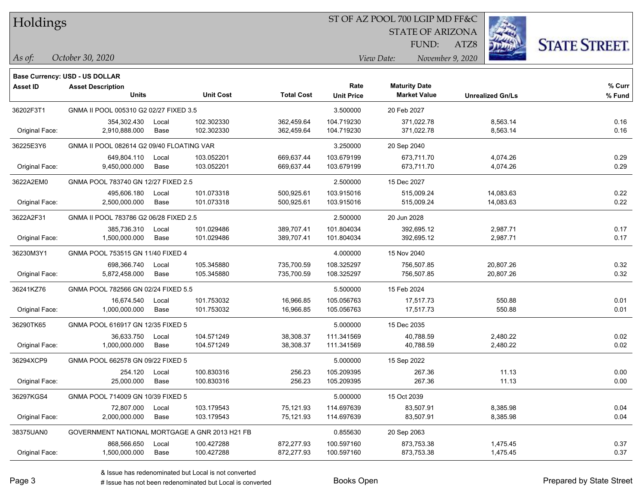#### ST OF AZ POOL 700 LGIP MD FF&C

STATE OF ARIZONA

ATZ8



*As of: View Date: November 9, 2020*

FUND:

| October 30, 2020<br>As of: |
|----------------------------|
|----------------------------|

|                 | Base Currency: USD - US DOLLAR                 |       |                  |                   |                   |                      |                         |        |
|-----------------|------------------------------------------------|-------|------------------|-------------------|-------------------|----------------------|-------------------------|--------|
| <b>Asset ID</b> | <b>Asset Description</b>                       |       |                  |                   | Rate              | <b>Maturity Date</b> |                         | % Curr |
|                 | <b>Units</b>                                   |       | <b>Unit Cost</b> | <b>Total Cost</b> | <b>Unit Price</b> | <b>Market Value</b>  | <b>Unrealized Gn/Ls</b> | % Fund |
| 36202F3T1       | GNMA II POOL 005310 G2 02/27 FIXED 3.5         |       |                  |                   | 3.500000          | 20 Feb 2027          |                         |        |
|                 | 354,302.430                                    | Local | 102.302330       | 362,459.64        | 104.719230        | 371,022.78           | 8,563.14                | 0.16   |
| Original Face:  | 2,910,888.000                                  | Base  | 102.302330       | 362,459.64        | 104.719230        | 371,022.78           | 8,563.14                | 0.16   |
| 36225E3Y6       | GNMA II POOL 082614 G2 09/40 FLOATING VAR      |       |                  |                   | 3.250000          | 20 Sep 2040          |                         |        |
|                 | 649,804.110                                    | Local | 103.052201       | 669,637.44        | 103.679199        | 673,711.70           | 4,074.26                | 0.29   |
| Original Face:  | 9,450,000.000                                  | Base  | 103.052201       | 669,637.44        | 103.679199        | 673,711.70           | 4,074.26                | 0.29   |
| 3622A2EM0       | GNMA POOL 783740 GN 12/27 FIXED 2.5            |       |                  |                   | 2.500000          | 15 Dec 2027          |                         |        |
|                 | 495,606.180                                    | Local | 101.073318       | 500,925.61        | 103.915016        | 515,009.24           | 14,083.63               | 0.22   |
| Original Face:  | 2,500,000.000                                  | Base  | 101.073318       | 500,925.61        | 103.915016        | 515,009.24           | 14,083.63               | 0.22   |
| 3622A2F31       | GNMA II POOL 783786 G2 06/28 FIXED 2.5         |       |                  |                   | 2.500000          | 20 Jun 2028          |                         |        |
|                 | 385.736.310                                    | Local | 101.029486       | 389.707.41        | 101.804034        | 392,695.12           | 2,987.71                | 0.17   |
| Original Face:  | 1,500,000.000                                  | Base  | 101.029486       | 389,707.41        | 101.804034        | 392,695.12           | 2,987.71                | 0.17   |
| 36230M3Y1       | GNMA POOL 753515 GN 11/40 FIXED 4              |       |                  |                   | 4.000000          | 15 Nov 2040          |                         |        |
|                 | 698,366.740                                    | Local | 105.345880       | 735,700.59        | 108.325297        | 756,507.85           | 20,807.26               | 0.32   |
| Original Face:  | 5,872,458.000                                  | Base  | 105.345880       | 735,700.59        | 108.325297        | 756,507.85           | 20,807.26               | 0.32   |
| 36241KZ76       | GNMA POOL 782566 GN 02/24 FIXED 5.5            |       |                  |                   | 5.500000          | 15 Feb 2024          |                         |        |
|                 | 16,674.540                                     | Local | 101.753032       | 16,966.85         | 105.056763        | 17,517.73            | 550.88                  | 0.01   |
| Original Face:  | 1,000,000.000                                  | Base  | 101.753032       | 16,966.85         | 105.056763        | 17,517.73            | 550.88                  | 0.01   |
| 36290TK65       | GNMA POOL 616917 GN 12/35 FIXED 5              |       |                  |                   | 5.000000          | 15 Dec 2035          |                         |        |
|                 | 36,633.750                                     | Local | 104.571249       | 38,308.37         | 111.341569        | 40,788.59            | 2,480.22                | 0.02   |
| Original Face:  | 1,000,000.000                                  | Base  | 104.571249       | 38,308.37         | 111.341569        | 40,788.59            | 2,480.22                | 0.02   |
| 36294XCP9       | GNMA POOL 662578 GN 09/22 FIXED 5              |       |                  |                   | 5.000000          | 15 Sep 2022          |                         |        |
|                 | 254.120                                        | Local | 100.830316       | 256.23            | 105.209395        | 267.36               | 11.13                   | 0.00   |
| Original Face:  | 25,000.000                                     | Base  | 100.830316       | 256.23            | 105.209395        | 267.36               | 11.13                   | 0.00   |
| 36297KGS4       | GNMA POOL 714009 GN 10/39 FIXED 5              |       |                  |                   | 5.000000          | 15 Oct 2039          |                         |        |
|                 | 72,807.000                                     | Local | 103.179543       | 75,121.93         | 114.697639        | 83,507.91            | 8,385.98                | 0.04   |
| Original Face:  | 2,000,000.000                                  | Base  | 103.179543       | 75,121.93         | 114.697639        | 83,507.91            | 8,385.98                | 0.04   |
| 38375UAN0       | GOVERNMENT NATIONAL MORTGAGE A GNR 2013 H21 FB |       |                  |                   | 0.855630          | 20 Sep 2063          |                         |        |
|                 | 868,566.650                                    | Local | 100.427288       | 872,277.93        | 100.597160        | 873,753.38           | 1,475.45                | 0.37   |
| Original Face:  | 1,500,000.000                                  | Base  | 100.427288       | 872,277.93        | 100.597160        | 873,753.38           | 1,475.45                | 0.37   |
|                 |                                                |       |                  |                   |                   |                      |                         |        |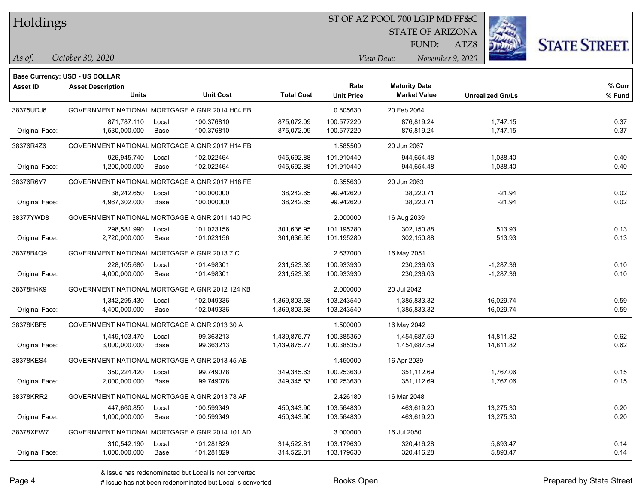#### ST OF AZ POOL 700 LGIP MD FF&C

STATE OF ARIZONA

FUND:

ATZ8



*October 30, 2020 As of: View Date: November 9, 2020*

|                 | <b>Base Currency: USD - US DOLLAR</b>          |       |                  |                   |                   |                      |                         |        |
|-----------------|------------------------------------------------|-------|------------------|-------------------|-------------------|----------------------|-------------------------|--------|
| <b>Asset ID</b> | <b>Asset Description</b>                       |       |                  |                   | Rate              | <b>Maturity Date</b> |                         | % Curr |
|                 | <b>Units</b>                                   |       | <b>Unit Cost</b> | <b>Total Cost</b> | <b>Unit Price</b> | <b>Market Value</b>  | <b>Unrealized Gn/Ls</b> | % Fund |
| 38375UDJ6       | GOVERNMENT NATIONAL MORTGAGE A GNR 2014 H04 FB |       |                  |                   | 0.805630          | 20 Feb 2064          |                         |        |
|                 | 871,787.110                                    | Local | 100.376810       | 875,072.09        | 100.577220        | 876,819.24           | 1,747.15                | 0.37   |
| Original Face:  | 1,530,000.000                                  | Base  | 100.376810       | 875,072.09        | 100.577220        | 876,819.24           | 1,747.15                | 0.37   |
| 38376R4Z6       | GOVERNMENT NATIONAL MORTGAGE A GNR 2017 H14 FB |       |                  |                   | 1.585500          | 20 Jun 2067          |                         |        |
|                 | 926,945.740                                    | Local | 102.022464       | 945,692.88        | 101.910440        | 944,654.48           | $-1,038.40$             | 0.40   |
| Original Face:  | 1,200,000.000                                  | Base  | 102.022464       | 945,692.88        | 101.910440        | 944,654.48           | $-1,038.40$             | 0.40   |
| 38376R6Y7       | GOVERNMENT NATIONAL MORTGAGE A GNR 2017 H18 FE |       |                  |                   | 0.355630          | 20 Jun 2063          |                         |        |
|                 | 38,242.650                                     | Local | 100.000000       | 38,242.65         | 99.942620         | 38,220.71            | $-21.94$                | 0.02   |
| Original Face:  | 4,967,302.000                                  | Base  | 100.000000       | 38,242.65         | 99.942620         | 38,220.71            | $-21.94$                | 0.02   |
| 38377YWD8       | GOVERNMENT NATIONAL MORTGAGE A GNR 2011 140 PC |       |                  |                   | 2.000000          | 16 Aug 2039          |                         |        |
|                 | 298,581.990                                    | Local | 101.023156       | 301,636.95        | 101.195280        | 302,150.88           | 513.93                  | 0.13   |
| Original Face:  | 2,720,000.000                                  | Base  | 101.023156       | 301,636.95        | 101.195280        | 302,150.88           | 513.93                  | 0.13   |
| 38378B4Q9       | GOVERNMENT NATIONAL MORTGAGE A GNR 2013 7 C    |       |                  |                   | 2.637000          | 16 May 2051          |                         |        |
|                 | 228,105.680                                    | Local | 101.498301       | 231,523.39        | 100.933930        | 230,236.03           | $-1,287.36$             | 0.10   |
| Original Face:  | 4,000,000.000                                  | Base  | 101.498301       | 231,523.39        | 100.933930        | 230,236.03           | $-1,287.36$             | 0.10   |
| 38378H4K9       | GOVERNMENT NATIONAL MORTGAGE A GNR 2012 124 KB |       |                  |                   | 2.000000          | 20 Jul 2042          |                         |        |
|                 | 1,342,295.430                                  | Local | 102.049336       | 1,369,803.58      | 103.243540        | 1,385,833.32         | 16,029.74               | 0.59   |
| Original Face:  | 4,400,000.000                                  | Base  | 102.049336       | 1,369,803.58      | 103.243540        | 1,385,833.32         | 16,029.74               | 0.59   |
| 38378KBF5       | GOVERNMENT NATIONAL MORTGAGE A GNR 2013 30 A   |       |                  |                   | 1.500000          | 16 May 2042          |                         |        |
|                 | 1,449,103.470                                  | Local | 99.363213        | 1,439,875.77      | 100.385350        | 1,454,687.59         | 14,811.82               | 0.62   |
| Original Face:  | 3,000,000.000                                  | Base  | 99.363213        | 1,439,875.77      | 100.385350        | 1,454,687.59         | 14,811.82               | 0.62   |
| 38378KES4       | GOVERNMENT NATIONAL MORTGAGE A GNR 2013 45 AB  |       |                  |                   | 1.450000          | 16 Apr 2039          |                         |        |
|                 | 350,224.420                                    | Local | 99.749078        | 349,345.63        | 100.253630        | 351,112.69           | 1,767.06                | 0.15   |
| Original Face:  | 2,000,000.000                                  | Base  | 99.749078        | 349,345.63        | 100.253630        | 351,112.69           | 1,767.06                | 0.15   |
| 38378KRR2       | GOVERNMENT NATIONAL MORTGAGE A GNR 2013 78 AF  |       |                  |                   | 2.426180          | 16 Mar 2048          |                         |        |
|                 | 447,660.850                                    | Local | 100.599349       | 450,343.90        | 103.564830        | 463,619.20           | 13,275.30               | 0.20   |
| Original Face:  | 1,000,000.000                                  | Base  | 100.599349       | 450,343.90        | 103.564830        | 463,619.20           | 13,275.30               | 0.20   |
| 38378XEW7       | GOVERNMENT NATIONAL MORTGAGE A GNR 2014 101 AD |       |                  |                   | 3.000000          | 16 Jul 2050          |                         |        |
|                 | 310,542.190                                    | Local | 101.281829       | 314,522.81        | 103.179630        | 320,416.28           | 5,893.47                | 0.14   |
| Original Face:  | 1,000,000.000                                  | Base  | 101.281829       | 314,522.81        | 103.179630        | 320,416.28           | 5,893.47                | 0.14   |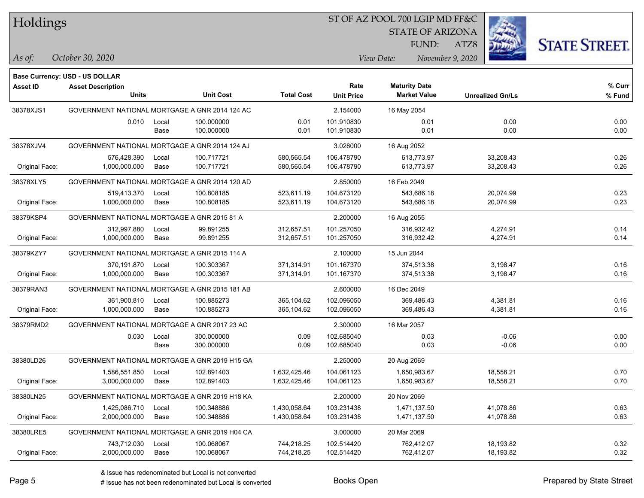#### ST OF AZ POOL 700 LGIP MD FF&C

STATE OF ARIZONA

ATZ8



*October 30, 2020 As of: View Date: November 9, 2020*

FUND:

|                 | Base Currency: USD - US DOLLAR                 |       |                  |                   |                   |                      |                         |        |
|-----------------|------------------------------------------------|-------|------------------|-------------------|-------------------|----------------------|-------------------------|--------|
| <b>Asset ID</b> | <b>Asset Description</b>                       |       |                  |                   | Rate              | <b>Maturity Date</b> |                         | % Curr |
|                 | <b>Units</b>                                   |       | <b>Unit Cost</b> | <b>Total Cost</b> | <b>Unit Price</b> | <b>Market Value</b>  | <b>Unrealized Gn/Ls</b> | % Fund |
| 38378XJS1       | GOVERNMENT NATIONAL MORTGAGE A GNR 2014 124 AC |       |                  |                   | 2.154000          | 16 May 2054          |                         |        |
|                 | 0.010                                          | Local | 100.000000       | 0.01              | 101.910830        | 0.01                 | 0.00                    | 0.00   |
|                 |                                                | Base  | 100.000000       | 0.01              | 101.910830        | 0.01                 | 0.00                    | 0.00   |
| 38378XJV4       | GOVERNMENT NATIONAL MORTGAGE A GNR 2014 124 AJ |       |                  |                   | 3.028000          | 16 Aug 2052          |                         |        |
|                 | 576,428.390                                    | Local | 100.717721       | 580,565.54        | 106.478790        | 613,773.97           | 33,208.43               | 0.26   |
| Original Face:  | 1,000,000.000                                  | Base  | 100.717721       | 580,565.54        | 106.478790        | 613,773.97           | 33,208.43               | 0.26   |
| 38378XLY5       | GOVERNMENT NATIONAL MORTGAGE A GNR 2014 120 AD |       |                  |                   | 2.850000          | 16 Feb 2049          |                         |        |
|                 | 519,413.370                                    | Local | 100.808185       | 523,611.19        | 104.673120        | 543,686.18           | 20,074.99               | 0.23   |
| Original Face:  | 1,000,000.000                                  | Base  | 100.808185       | 523,611.19        | 104.673120        | 543,686.18           | 20,074.99               | 0.23   |
| 38379KSP4       | GOVERNMENT NATIONAL MORTGAGE A GNR 2015 81 A   |       |                  |                   | 2.200000          | 16 Aug 2055          |                         |        |
|                 | 312,997.880                                    | Local | 99.891255        | 312,657.51        | 101.257050        | 316,932.42           | 4,274.91                | 0.14   |
| Original Face:  | 1,000,000.000                                  | Base  | 99.891255        | 312,657.51        | 101.257050        | 316,932.42           | 4,274.91                | 0.14   |
| 38379KZY7       | GOVERNMENT NATIONAL MORTGAGE A GNR 2015 114 A  |       |                  |                   | 2.100000          | 15 Jun 2044          |                         |        |
|                 | 370,191.870                                    | Local | 100.303367       | 371,314.91        | 101.167370        | 374,513.38           | 3,198.47                | 0.16   |
| Original Face:  | 1,000,000.000                                  | Base  | 100.303367       | 371,314.91        | 101.167370        | 374,513.38           | 3,198.47                | 0.16   |
| 38379RAN3       | GOVERNMENT NATIONAL MORTGAGE A GNR 2015 181 AB |       |                  |                   | 2.600000          | 16 Dec 2049          |                         |        |
|                 | 361,900.810                                    | Local | 100.885273       | 365,104.62        | 102.096050        | 369,486.43           | 4,381.81                | 0.16   |
| Original Face:  | 1,000,000.000                                  | Base  | 100.885273       | 365,104.62        | 102.096050        | 369,486.43           | 4,381.81                | 0.16   |
| 38379RMD2       | GOVERNMENT NATIONAL MORTGAGE A GNR 2017 23 AC  |       |                  |                   | 2.300000          | 16 Mar 2057          |                         |        |
|                 | 0.030                                          | Local | 300.000000       | 0.09              | 102.685040        | 0.03                 | $-0.06$                 | 0.00   |
|                 |                                                | Base  | 300.000000       | 0.09              | 102.685040        | 0.03                 | $-0.06$                 | 0.00   |
| 38380LD26       | GOVERNMENT NATIONAL MORTGAGE A GNR 2019 H15 GA |       |                  |                   | 2.250000          | 20 Aug 2069          |                         |        |
|                 | 1,586,551.850                                  | Local | 102.891403       | 1,632,425.46      | 104.061123        | 1,650,983.67         | 18,558.21               | 0.70   |
| Original Face:  | 3,000,000.000                                  | Base  | 102.891403       | 1,632,425.46      | 104.061123        | 1,650,983.67         | 18,558.21               | 0.70   |
| 38380LN25       | GOVERNMENT NATIONAL MORTGAGE A GNR 2019 H18 KA |       |                  |                   | 2.200000          | 20 Nov 2069          |                         |        |
|                 | 1,425,086.710                                  | Local | 100.348886       | 1,430,058.64      | 103.231438        | 1,471,137.50         | 41,078.86               | 0.63   |
| Original Face:  | 2,000,000.000                                  | Base  | 100.348886       | 1,430,058.64      | 103.231438        | 1,471,137.50         | 41,078.86               | 0.63   |
| 38380LRE5       | GOVERNMENT NATIONAL MORTGAGE A GNR 2019 H04 CA |       |                  |                   | 3.000000          | 20 Mar 2069          |                         |        |
|                 | 743,712.030                                    | Local | 100.068067       | 744,218.25        | 102.514420        | 762,412.07           | 18,193.82               | 0.32   |
| Original Face:  | 2,000,000.000                                  | Base  | 100.068067       | 744,218.25        | 102.514420        | 762,412.07           | 18,193.82               | 0.32   |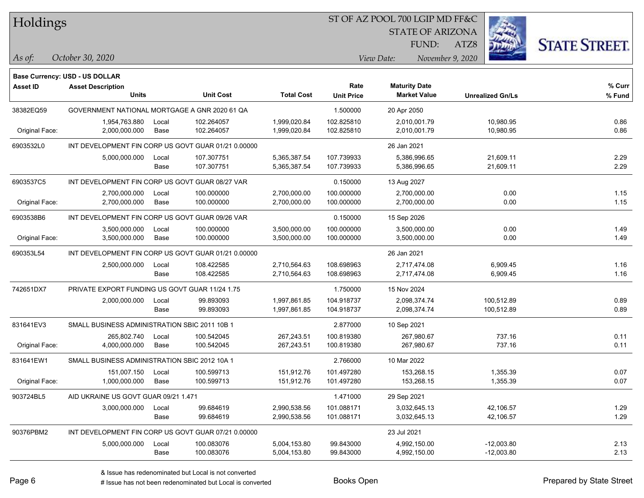#### ST OF AZ POOL 700 LGIP MD FF&C

STATE OF ARIZONA

ATZ8



**Base Currency: USD - US DOLLAR**

*October 30, 2020 As of: View Date: November 9, 2020* FUND:

| <b>Asset ID</b> | <b>Asset Description</b><br><b>Units</b>            |               | <b>Unit Cost</b>         | <b>Total Cost</b>            | Rate<br><b>Unit Price</b> | <b>Maturity Date</b><br><b>Market Value</b> | <b>Unrealized Gn/Ls</b>      | % Curr<br>% Fund |
|-----------------|-----------------------------------------------------|---------------|--------------------------|------------------------------|---------------------------|---------------------------------------------|------------------------------|------------------|
| 38382EQ59       | GOVERNMENT NATIONAL MORTGAGE A GNR 2020 61 QA       |               |                          |                              | 1.500000                  | 20 Apr 2050                                 |                              |                  |
| Original Face:  | 1,954,763.880<br>2,000,000.000                      | Local<br>Base | 102.264057<br>102.264057 | 1,999,020.84<br>1,999,020.84 | 102.825810<br>102.825810  | 2,010,001.79<br>2,010,001.79                | 10,980.95<br>10,980.95       | 0.86<br>0.86     |
| 6903532L0       | INT DEVELOPMENT FIN CORP US GOVT GUAR 01/21 0.00000 |               |                          |                              |                           | 26 Jan 2021                                 |                              |                  |
|                 | 5,000,000.000                                       | Local<br>Base | 107.307751<br>107.307751 | 5,365,387.54<br>5,365,387.54 | 107.739933<br>107.739933  | 5,386,996.65<br>5,386,996.65                | 21,609.11<br>21,609.11       | 2.29<br>2.29     |
| 6903537C5       | INT DEVELOPMENT FIN CORP US GOVT GUAR 08/27 VAR     |               |                          |                              | 0.150000                  | 13 Aug 2027                                 |                              |                  |
| Original Face:  | 2,700,000.000<br>2,700,000.000                      | Local<br>Base | 100.000000<br>100.000000 | 2,700,000.00<br>2,700,000.00 | 100.000000<br>100.000000  | 2,700,000.00<br>2,700,000.00                | 0.00<br>0.00                 | 1.15<br>1.15     |
| 6903538B6       | INT DEVELOPMENT FIN CORP US GOVT GUAR 09/26 VAR     |               |                          |                              | 0.150000                  | 15 Sep 2026                                 |                              |                  |
| Original Face:  | 3,500,000.000<br>3,500,000.000                      | Local<br>Base | 100.000000<br>100.000000 | 3,500,000.00<br>3,500,000.00 | 100.000000<br>100.000000  | 3,500,000.00<br>3,500,000.00                | 0.00<br>0.00                 | 1.49<br>1.49     |
| 690353L54       | INT DEVELOPMENT FIN CORP US GOVT GUAR 01/21 0.00000 |               |                          |                              |                           | 26 Jan 2021                                 |                              |                  |
|                 | 2,500,000.000                                       | Local<br>Base | 108.422585<br>108.422585 | 2,710,564.63<br>2,710,564.63 | 108.698963<br>108.698963  | 2,717,474.08<br>2,717,474.08                | 6,909.45<br>6,909.45         | 1.16<br>1.16     |
| 742651DX7       | PRIVATE EXPORT FUNDING US GOVT GUAR 11/24 1.75      |               |                          |                              | 1.750000                  | 15 Nov 2024                                 |                              |                  |
|                 | 2,000,000.000                                       | Local<br>Base | 99.893093<br>99.893093   | 1,997,861.85<br>1,997,861.85 | 104.918737<br>104.918737  | 2,098,374.74<br>2,098,374.74                | 100,512.89<br>100,512.89     | 0.89<br>0.89     |
| 831641EV3       | SMALL BUSINESS ADMINISTRATION SBIC 2011 10B 1       |               |                          |                              | 2.877000                  | 10 Sep 2021                                 |                              |                  |
| Original Face:  | 265,802.740<br>4,000,000.000                        | Local<br>Base | 100.542045<br>100.542045 | 267,243.51<br>267,243.51     | 100.819380<br>100.819380  | 267,980.67<br>267,980.67                    | 737.16<br>737.16             | 0.11<br>0.11     |
| 831641EW1       | SMALL BUSINESS ADMINISTRATION SBIC 2012 10A 1       |               |                          |                              | 2.766000                  | 10 Mar 2022                                 |                              |                  |
| Original Face:  | 151,007.150<br>1,000,000.000                        | Local<br>Base | 100.599713<br>100.599713 | 151,912.76<br>151,912.76     | 101.497280<br>101.497280  | 153,268.15<br>153,268.15                    | 1,355.39<br>1,355.39         | 0.07<br>0.07     |
| 903724BL5       | AID UKRAINE US GOVT GUAR 09/21 1.471                |               |                          |                              | 1.471000                  | 29 Sep 2021                                 |                              |                  |
|                 | 3,000,000.000                                       | Local<br>Base | 99.684619<br>99.684619   | 2,990,538.56<br>2,990,538.56 | 101.088171<br>101.088171  | 3,032,645.13<br>3,032,645.13                | 42,106.57<br>42,106.57       | 1.29<br>1.29     |
| 90376PBM2       | INT DEVELOPMENT FIN CORP US GOVT GUAR 07/21 0.00000 |               |                          |                              |                           | 23 Jul 2021                                 |                              |                  |
|                 | 5,000,000.000                                       | Local<br>Base | 100.083076<br>100.083076 | 5,004,153.80<br>5,004,153.80 | 99.843000<br>99.843000    | 4,992,150.00<br>4,992,150.00                | $-12,003.80$<br>$-12,003.80$ | 2.13<br>2.13     |

# Issue has not been redenominated but Local is converted Books Open **Books Open** Prepared by State Street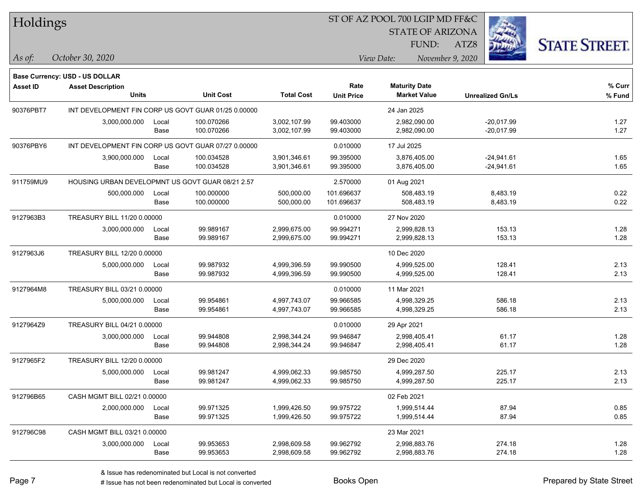#### ST OF AZ POOL 700 LGIP MD FF&C

STATE OF ARIZONA

ATZ8



*As of: View Date: November 9, 2020*

FUND:

| As of: | October 30, 2020 |  |
|--------|------------------|--|
|        |                  |  |

|                 | Base Currency: USD - US DOLLAR                      |       |                  |                   |                   |                      |                         |        |
|-----------------|-----------------------------------------------------|-------|------------------|-------------------|-------------------|----------------------|-------------------------|--------|
| <b>Asset ID</b> | <b>Asset Description</b>                            |       |                  |                   | Rate              | <b>Maturity Date</b> |                         | % Curr |
|                 | <b>Units</b>                                        |       | <b>Unit Cost</b> | <b>Total Cost</b> | <b>Unit Price</b> | <b>Market Value</b>  | <b>Unrealized Gn/Ls</b> | % Fund |
| 90376PBT7       | INT DEVELOPMENT FIN CORP US GOVT GUAR 01/25 0.00000 |       |                  |                   |                   | 24 Jan 2025          |                         |        |
|                 | 3,000,000.000                                       | Local | 100.070266       | 3,002,107.99      | 99.403000         | 2,982,090.00         | $-20,017.99$            | 1.27   |
|                 |                                                     | Base  | 100.070266       | 3,002,107.99      | 99.403000         | 2,982,090.00         | $-20,017.99$            | 1.27   |
| 90376PBY6       | INT DEVELOPMENT FIN CORP US GOVT GUAR 07/27 0.00000 |       |                  |                   | 0.010000          | 17 Jul 2025          |                         |        |
|                 | 3,900,000.000                                       | Local | 100.034528       | 3,901,346.61      | 99.395000         | 3,876,405.00         | $-24,941.61$            | 1.65   |
|                 |                                                     | Base  | 100.034528       | 3,901,346.61      | 99.395000         | 3,876,405.00         | $-24,941.61$            | 1.65   |
| 911759MU9       | HOUSING URBAN DEVELOPMNT US GOVT GUAR 08/21 2.57    |       |                  | 2.570000          | 01 Aug 2021       |                      |                         |        |
|                 | 500,000.000                                         | Local | 100.000000       | 500,000.00        | 101.696637        | 508,483.19           | 8,483.19                | 0.22   |
|                 |                                                     | Base  | 100.000000       | 500,000.00        | 101.696637        | 508,483.19           | 8,483.19                | 0.22   |
| 9127963B3       | TREASURY BILL 11/20 0.00000                         |       |                  |                   | 0.010000          | 27 Nov 2020          |                         |        |
|                 | 3,000,000.000                                       | Local | 99.989167        | 2,999,675.00      | 99.994271         | 2,999,828.13         | 153.13                  | 1.28   |
|                 |                                                     | Base  | 99.989167        | 2,999,675.00      | 99.994271         | 2,999,828.13         | 153.13                  | 1.28   |
| 9127963J6       | TREASURY BILL 12/20 0.00000                         |       |                  |                   |                   | 10 Dec 2020          |                         |        |
|                 | 5,000,000.000                                       | Local | 99.987932        | 4,999,396.59      | 99.990500         | 4,999,525.00         | 128.41                  | 2.13   |
|                 |                                                     | Base  | 99.987932        | 4,999,396.59      | 99.990500         | 4,999,525.00         | 128.41                  | 2.13   |
| 9127964M8       | TREASURY BILL 03/21 0.00000                         |       |                  |                   | 0.010000          | 11 Mar 2021          |                         |        |
|                 | 5,000,000.000                                       | Local | 99.954861        | 4,997,743.07      | 99.966585         | 4,998,329.25         | 586.18                  | 2.13   |
|                 |                                                     | Base  | 99.954861        | 4,997,743.07      | 99.966585         | 4,998,329.25         | 586.18                  | 2.13   |
| 9127964Z9       | TREASURY BILL 04/21 0.00000                         |       |                  |                   | 0.010000          | 29 Apr 2021          |                         |        |
|                 | 3,000,000.000                                       | Local | 99.944808        | 2,998,344.24      | 99.946847         | 2,998,405.41         | 61.17                   | 1.28   |
|                 |                                                     | Base  | 99.944808        | 2,998,344.24      | 99.946847         | 2,998,405.41         | 61.17                   | 1.28   |
| 9127965F2       | TREASURY BILL 12/20 0.00000                         |       |                  |                   |                   | 29 Dec 2020          |                         |        |
|                 | 5,000,000.000                                       | Local | 99.981247        | 4,999,062.33      | 99.985750         | 4,999,287.50         | 225.17                  | 2.13   |
|                 |                                                     | Base  | 99.981247        | 4,999,062.33      | 99.985750         | 4,999,287.50         | 225.17                  | 2.13   |
| 912796B65       | CASH MGMT BILL 02/21 0.00000                        |       |                  |                   |                   | 02 Feb 2021          |                         |        |
|                 | 2,000,000.000                                       | Local | 99.971325        | 1,999,426.50      | 99.975722         | 1,999,514.44         | 87.94                   | 0.85   |
|                 |                                                     | Base  | 99.971325        | 1,999,426.50      | 99.975722         | 1,999,514.44         | 87.94                   | 0.85   |
| 912796C98       | CASH MGMT BILL 03/21 0.00000                        |       |                  |                   |                   | 23 Mar 2021          |                         |        |
|                 | 3,000,000.000                                       | Local | 99.953653        | 2,998,609.58      | 99.962792         | 2,998,883.76         | 274.18                  | 1.28   |
|                 |                                                     | Base  | 99.953653        | 2,998,609.58      | 99.962792         | 2,998,883.76         | 274.18                  | 1.28   |
|                 |                                                     |       |                  |                   |                   |                      |                         |        |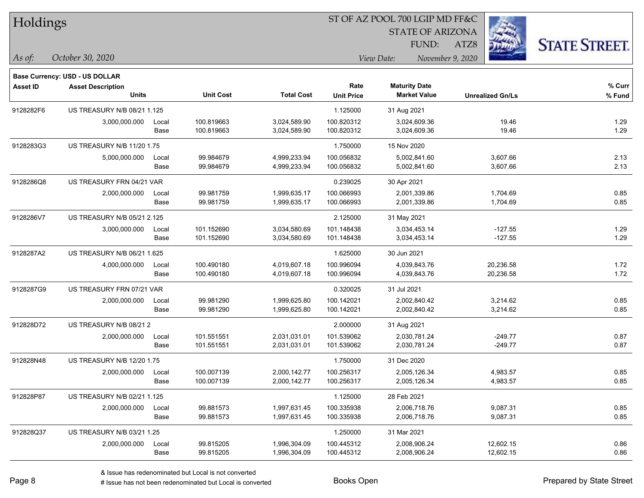| Holdings  |                                          |               |                          |                              |                           | ST OF AZ POOL 700 LGIP MD FF&C              |                         |                      |  |
|-----------|------------------------------------------|---------------|--------------------------|------------------------------|---------------------------|---------------------------------------------|-------------------------|----------------------|--|
|           |                                          |               |                          |                              |                           | <b>STATE OF ARIZONA</b><br>FUND:            | ATZ8                    |                      |  |
| As of:    | October 30, 2020                         |               |                          |                              |                           | View Date:                                  | November 9, 2020        | <b>STATE STREET.</b> |  |
|           | Base Currency: USD - US DOLLAR           |               |                          |                              |                           |                                             |                         |                      |  |
| Asset ID  | <b>Asset Description</b><br><b>Units</b> |               | <b>Unit Cost</b>         | <b>Total Cost</b>            | Rate<br><b>Unit Price</b> | <b>Maturity Date</b><br><b>Market Value</b> | <b>Unrealized Gn/Ls</b> | % Curr<br>$%$ Fund   |  |
| 9128282F6 | US TREASURY N/B 08/21 1.125              |               |                          |                              | 1.125000                  | 31 Aug 2021                                 |                         |                      |  |
|           | 3,000,000.000                            | Local<br>Base | 100.819663<br>100.819663 | 3,024,589.90<br>3,024,589.90 | 100.820312<br>100.820312  | 3,024,609.36<br>3,024,609.36                | 19.46<br>19.46          | 1.29<br>1.29         |  |
| 9128283G3 | US TREASURY N/B 11/20 1.75               |               |                          |                              | 1.750000                  | 15 Nov 2020                                 |                         |                      |  |
|           | 5,000,000.000                            | Local<br>Base | 99.984679<br>99.984679   | 4,999,233.94<br>4,999,233.94 | 100.056832<br>100.056832  | 5,002,841.60<br>5,002,841.60                | 3,607.66<br>3,607.66    | 2.13<br>2.13         |  |
| 9128286Q8 | US TREASURY FRN 04/21 VAR                |               |                          |                              | 0.239025                  | 30 Apr 2021                                 |                         |                      |  |
|           | 2,000,000.000                            | Local<br>Base | 99.981759<br>99.981759   | 1,999,635.17<br>1,999,635.17 | 100.066993<br>100.066993  | 2,001,339.86<br>2,001,339.86                | 1,704.69<br>1,704.69    | 0.85<br>0.85         |  |
| 9128286V7 | <b>US TREASURY N/B 05/21 2.125</b>       |               |                          |                              | 2.125000                  | 31 May 2021                                 |                         |                      |  |
|           | 3,000,000.000                            | Local<br>Base | 101.152690<br>101.152690 | 3,034,580.69<br>3,034,580.69 | 101.148438<br>101.148438  | 3,034,453.14<br>3,034,453.14                | $-127.55$<br>$-127.55$  | 1.29<br>1.29         |  |
| 9128287A2 | US TREASURY N/B 06/21 1.625              |               |                          |                              | 1.625000                  | 30 Jun 2021                                 |                         |                      |  |
|           | 4,000,000.000                            | Local<br>Base | 100.490180<br>100.490180 | 4,019,607.18<br>4,019,607.18 | 100.996094<br>100.996094  | 4,039,843.76<br>4,039,843.76                | 20,236.58<br>20,236.58  | 1.72<br>1.72         |  |
| 9128287G9 | US TREASURY FRN 07/21 VAR                |               |                          |                              | 0.320025                  | 31 Jul 2021                                 |                         |                      |  |
|           | 2,000,000.000                            | Local<br>Base | 99.981290<br>99.981290   | 1,999,625.80<br>1,999,625.80 | 100.142021<br>100.142021  | 2,002,840.42<br>2,002,840.42                | 3,214.62<br>3,214.62    | 0.85<br>0.85         |  |
| 912828D72 | US TREASURY N/B 08/212                   |               |                          |                              | 2.000000                  | 31 Aug 2021                                 |                         |                      |  |
|           | 2,000,000.000                            | Local<br>Base | 101.551551<br>101.551551 | 2,031,031.01<br>2,031,031.01 | 101.539062<br>101.539062  | 2,030,781.24<br>2,030,781.24                | $-249.77$<br>$-249.77$  | 0.87<br>0.87         |  |
| 912828N48 | US TREASURY N/B 12/20 1.75               |               |                          |                              | 1.750000                  | 31 Dec 2020                                 |                         |                      |  |
|           | 2,000,000.000                            | Local<br>Base | 100.007139<br>100.007139 | 2,000,142.77<br>2,000,142.77 | 100.256317<br>100.256317  | 2,005,126.34<br>2,005,126.34                | 4,983.57<br>4,983.57    | 0.85<br>0.85         |  |
| 912828P87 | US TREASURY N/B 02/21 1.125              |               |                          |                              | 1.125000                  | 28 Feb 2021                                 |                         |                      |  |
|           | 2,000,000.000                            | Local<br>Base | 99.881573<br>99.881573   | 1,997,631.45<br>1,997,631.45 | 100.335938<br>100.335938  | 2,006,718.76<br>2,006,718.76                | 9,087.31<br>9,087.31    | 0.85<br>0.85         |  |
| 912828Q37 | US TREASURY N/B 03/21 1.25               |               |                          |                              | 1.250000                  | 31 Mar 2021                                 |                         |                      |  |
|           | 2,000,000.000                            | Local         | 99.815205                | 1,996,304.09                 | 100.445312                | 2,008,906.24                                | 12,602.15               | 0.86                 |  |

ST OF AZ POOL 700 LGIP MD FF&C

e e

 $\overline{\phantom{0}}$ 

 $\sim$ 

Base 99.815205 1,996,304.09 100.445312 2,008,906.24 12,602.15 0.86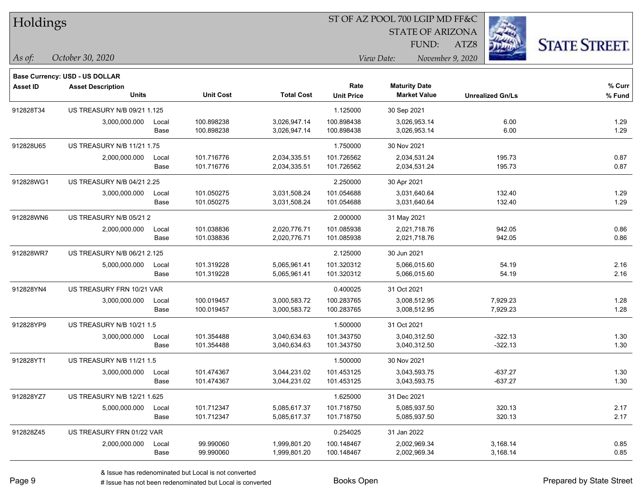| Holdings  |                                |       |                  |                   |                   | ST OF AZ POOL 700 LGIP MD FF&C |                         |                      |
|-----------|--------------------------------|-------|------------------|-------------------|-------------------|--------------------------------|-------------------------|----------------------|
|           |                                |       |                  |                   |                   | <b>STATE OF ARIZONA</b>        |                         |                      |
|           |                                |       |                  |                   |                   | FUND:                          | ATZ8                    | <b>STATE STREET.</b> |
| As of:    | October 30, 2020               |       |                  |                   |                   | View Date:<br>November 9, 2020 |                         |                      |
|           | Base Currency: USD - US DOLLAR |       |                  |                   |                   |                                |                         |                      |
| Asset ID  | <b>Asset Description</b>       |       |                  |                   | Rate              | <b>Maturity Date</b>           |                         | % Curr               |
|           | <b>Units</b>                   |       | <b>Unit Cost</b> | <b>Total Cost</b> | <b>Unit Price</b> | <b>Market Value</b>            | <b>Unrealized Gn/Ls</b> | % Fund               |
| 912828T34 | US TREASURY N/B 09/21 1.125    |       |                  |                   | 1.125000          | 30 Sep 2021                    |                         |                      |
|           | 3,000,000.000                  | Local | 100.898238       | 3,026,947.14      | 100.898438        | 3,026,953.14                   | 6.00                    | 1.29                 |
|           |                                | Base  | 100.898238       | 3,026,947.14      | 100.898438        | 3,026,953.14                   | 6.00                    | 1.29                 |
| 912828U65 | US TREASURY N/B 11/21 1.75     |       |                  |                   | 1.750000          | 30 Nov 2021                    |                         |                      |
|           | 2,000,000.000                  | Local | 101.716776       | 2,034,335.51      | 101.726562        | 2,034,531.24                   | 195.73                  | 0.87                 |
|           |                                | Base  | 101.716776       | 2,034,335.51      | 101.726562        | 2,034,531.24                   | 195.73                  | 0.87                 |
| 912828WG1 | US TREASURY N/B 04/21 2.25     |       |                  |                   | 2.250000          | 30 Apr 2021                    |                         |                      |
|           | 3,000,000.000                  | Local | 101.050275       | 3,031,508.24      | 101.054688        | 3,031,640.64                   | 132.40                  | 1.29                 |
|           |                                | Base  | 101.050275       | 3,031,508.24      | 101.054688        | 3,031,640.64                   | 132.40                  | 1.29                 |
| 912828WN6 | US TREASURY N/B 05/21 2        |       |                  |                   | 2.000000          | 31 May 2021                    |                         |                      |
|           | 2,000,000.000                  | Local | 101.038836       | 2,020,776.71      | 101.085938        | 2,021,718.76                   | 942.05                  | 0.86                 |
|           |                                | Base  | 101.038836       | 2,020,776.71      | 101.085938        | 2,021,718.76                   | 942.05                  | 0.86                 |
| 912828WR7 | US TREASURY N/B 06/21 2.125    |       |                  |                   | 2.125000          | 30 Jun 2021                    |                         |                      |
|           | 5,000,000.000                  | Local | 101.319228       | 5,065,961.41      | 101.320312        | 5,066,015.60                   | 54.19                   | 2.16                 |
|           |                                | Base  | 101.319228       | 5,065,961.41      | 101.320312        | 5,066,015.60                   | 54.19                   | 2.16                 |
| 912828YN4 | US TREASURY FRN 10/21 VAR      |       |                  |                   | 0.400025          | 31 Oct 2021                    |                         |                      |
|           | 3,000,000.000                  | Local | 100.019457       | 3,000,583.72      | 100.283765        | 3,008,512.95                   | 7,929.23                | 1.28                 |
|           |                                | Base  | 100.019457       | 3,000,583.72      | 100.283765        | 3,008,512.95                   | 7,929.23                | 1.28                 |
| 912828YP9 | US TREASURY N/B 10/21 1.5      |       |                  |                   | 1.500000          | 31 Oct 2021                    |                         |                      |
|           | 3,000,000.000                  | Local | 101.354488       | 3,040,634.63      | 101.343750        | 3,040,312.50                   | $-322.13$               | 1.30                 |
|           |                                | Base  | 101.354488       | 3,040,634.63      | 101.343750        | 3,040,312.50                   | $-322.13$               | 1.30                 |
| 912828YT1 | US TREASURY N/B 11/21 1.5      |       |                  |                   | 1.500000          | 30 Nov 2021                    |                         |                      |
|           | 3,000,000.000                  | Local | 101.474367       | 3,044,231.02      | 101.453125        | 3,043,593.75                   | $-637.27$               | 1.30                 |
|           |                                | Base  | 101.474367       | 3,044,231.02      | 101.453125        | 3,043,593.75                   | $-637.27$               | 1.30                 |
| 912828YZ7 | US TREASURY N/B 12/21 1.625    |       |                  |                   | 1.625000          | 31 Dec 2021                    |                         |                      |
|           | 5,000,000.000                  | Local | 101.712347       | 5,085,617.37      | 101.718750        | 5,085,937.50                   | 320.13                  | 2.17                 |
|           |                                | Base  | 101.712347       | 5,085,617.37      | 101.718750        | 5,085,937.50                   | 320.13                  | 2.17                 |
| 912828Z45 | US TREASURY FRN 01/22 VAR      |       |                  |                   | 0.254025          | 31 Jan 2022                    |                         |                      |
|           | 2,000,000.000                  | Local | 99.990060        | 1,999,801.20      | 100.148467        | 2,002,969.34                   | 3,168.14                | 0.85                 |
|           |                                | Base  | 99.990060        | 1,999,801.20      | 100.148467        | 2,002,969.34                   | 3,168.14                | 0.85                 |

ST OF AZ POOL 700 LGIP MD FF&C

 $\overline{\phantom{0}}$ 

 $\overline{\phantom{0}}$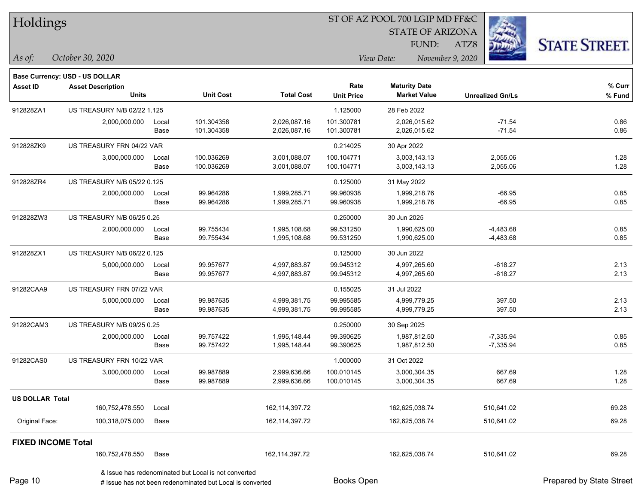| Holdings                  |                                |       |                                                      |                   |                   | ST OF AZ POOL 700 LGIP MD FF&C |                         |                      |
|---------------------------|--------------------------------|-------|------------------------------------------------------|-------------------|-------------------|--------------------------------|-------------------------|----------------------|
|                           |                                |       |                                                      |                   |                   | <b>STATE OF ARIZONA</b>        |                         |                      |
|                           |                                |       |                                                      |                   |                   | FUND:                          | ATZ8                    | <b>STATE STREET.</b> |
| $\vert$ As of:            | October 30, 2020               |       |                                                      |                   |                   | View Date:                     | November 9, 2020        |                      |
|                           | Base Currency: USD - US DOLLAR |       |                                                      |                   |                   |                                |                         |                      |
| <b>Asset ID</b>           | <b>Asset Description</b>       |       |                                                      |                   | Rate              | <b>Maturity Date</b>           |                         | % Curr               |
|                           | <b>Units</b>                   |       | <b>Unit Cost</b>                                     | <b>Total Cost</b> | <b>Unit Price</b> | <b>Market Value</b>            | <b>Unrealized Gn/Ls</b> | % Fund               |
| 912828ZA1                 | US TREASURY N/B 02/22 1.125    |       |                                                      |                   | 1.125000          | 28 Feb 2022                    |                         |                      |
|                           | 2,000,000.000                  | Local | 101.304358                                           | 2,026,087.16      | 101.300781        | 2,026,015.62                   | $-71.54$                | 0.86                 |
|                           |                                | Base  | 101.304358                                           | 2,026,087.16      | 101.300781        | 2,026,015.62                   | $-71.54$                | 0.86                 |
| 912828ZK9                 | US TREASURY FRN 04/22 VAR      |       |                                                      |                   | 0.214025          | 30 Apr 2022                    |                         |                      |
|                           | 3,000,000.000                  | Local | 100.036269                                           | 3,001,088.07      | 100.104771        | 3,003,143.13                   | 2,055.06                | 1.28                 |
|                           |                                | Base  | 100.036269                                           | 3,001,088.07      | 100.104771        | 3,003,143.13                   | 2,055.06                | 1.28                 |
| 912828ZR4                 | US TREASURY N/B 05/22 0.125    |       |                                                      |                   | 0.125000          | 31 May 2022                    |                         |                      |
|                           | 2,000,000.000                  | Local | 99.964286                                            | 1,999,285.71      | 99.960938         | 1,999,218.76                   | $-66.95$                | 0.85                 |
|                           |                                | Base  | 99.964286                                            | 1,999,285.71      | 99.960938         | 1,999,218.76                   | $-66.95$                | 0.85                 |
| 912828ZW3                 | US TREASURY N/B 06/25 0.25     |       |                                                      |                   | 0.250000          | 30 Jun 2025                    |                         |                      |
|                           | 2,000,000.000                  | Local | 99.755434                                            | 1,995,108.68      | 99.531250         | 1,990,625.00                   | $-4,483.68$             | 0.85                 |
|                           |                                | Base  | 99.755434                                            | 1,995,108.68      | 99.531250         | 1,990,625.00                   | $-4,483.68$             | 0.85                 |
| 912828ZX1                 | US TREASURY N/B 06/22 0.125    |       |                                                      |                   | 0.125000          | 30 Jun 2022                    |                         |                      |
|                           | 5,000,000.000                  | Local | 99.957677                                            | 4,997,883.87      | 99.945312         | 4,997,265.60                   | $-618.27$               | 2.13                 |
|                           |                                | Base  | 99.957677                                            | 4,997,883.87      | 99.945312         | 4,997,265.60                   | $-618.27$               | 2.13                 |
| 91282CAA9                 | US TREASURY FRN 07/22 VAR      |       |                                                      |                   | 0.155025          | 31 Jul 2022                    |                         |                      |
|                           | 5,000,000.000                  | Local | 99.987635                                            | 4,999,381.75      | 99.995585         | 4,999,779.25                   | 397.50                  | 2.13                 |
|                           |                                | Base  | 99.987635                                            | 4,999,381.75      | 99.995585         | 4,999,779.25                   | 397.50                  | 2.13                 |
| 91282CAM3                 | US TREASURY N/B 09/25 0.25     |       |                                                      |                   | 0.250000          | 30 Sep 2025                    |                         |                      |
|                           | 2,000,000.000                  | Local | 99.757422                                            | 1,995,148.44      | 99.390625         | 1,987,812.50                   | $-7,335.94$             | 0.85                 |
|                           |                                | Base  | 99.757422                                            | 1,995,148.44      | 99.390625         | 1,987,812.50                   | $-7,335.94$             | 0.85                 |
| 91282CAS0                 | US TREASURY FRN 10/22 VAR      |       |                                                      |                   | 1.000000          | 31 Oct 2022                    |                         |                      |
|                           | 3,000,000.000                  | Local | 99.987889                                            | 2,999,636.66      | 100.010145        | 3,000,304.35                   | 667.69                  | 1.28                 |
|                           |                                | Base  | 99.987889                                            | 2,999,636.66      | 100.010145        | 3,000,304.35                   | 667.69                  | 1.28                 |
| <b>US DOLLAR Total</b>    |                                |       |                                                      |                   |                   |                                |                         |                      |
|                           | 160,752,478.550                | Local |                                                      | 162,114,397.72    |                   | 162,625,038.74                 | 510,641.02              | 69.28                |
| Original Face:            | 100,318,075.000                | Base  |                                                      | 162,114,397.72    |                   | 162,625,038.74                 | 510,641.02              | 69.28                |
| <b>FIXED INCOME Total</b> |                                |       |                                                      |                   |                   |                                |                         |                      |
|                           | 160,752,478.550                | Base  |                                                      | 162,114,397.72    |                   | 162,625,038.74                 | 510,641.02              | 69.28                |
|                           |                                |       | & Issue has redenominated but Local is not converted |                   |                   |                                |                         |                      |

Page 10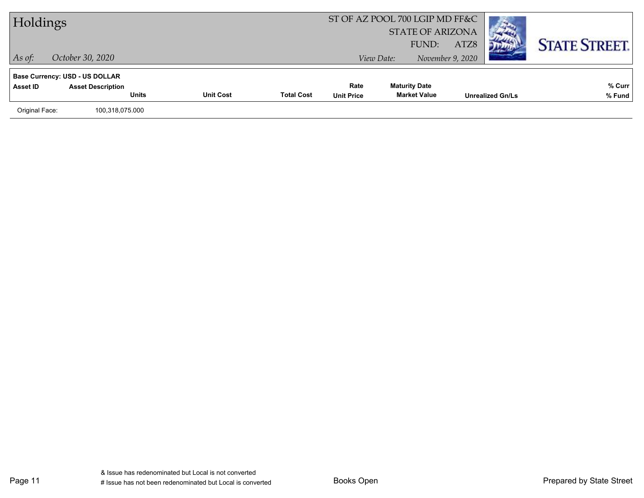| Holdings       |                                                                                   |                  |                   | ST OF AZ POOL 700 LGIP MD FF&C | <b>STATE OF ARIZONA</b>                     |                          |                         |                      |
|----------------|-----------------------------------------------------------------------------------|------------------|-------------------|--------------------------------|---------------------------------------------|--------------------------|-------------------------|----------------------|
| $\vert$ As of: | October 30, 2020                                                                  |                  |                   |                                | FUND:<br>View Date:                         | ATZ8<br>November 9, 2020 |                         | <b>STATE STREET.</b> |
| Asset ID       | <b>Base Currency: USD - US DOLLAR</b><br><b>Asset Description</b><br><b>Units</b> | <b>Unit Cost</b> | <b>Total Cost</b> | Rate<br><b>Unit Price</b>      | <b>Maturity Date</b><br><b>Market Value</b> |                          | <b>Unrealized Gn/Ls</b> | % Curr<br>% Fund     |
| Original Face: | 100,318,075.000                                                                   |                  |                   |                                |                                             |                          |                         |                      |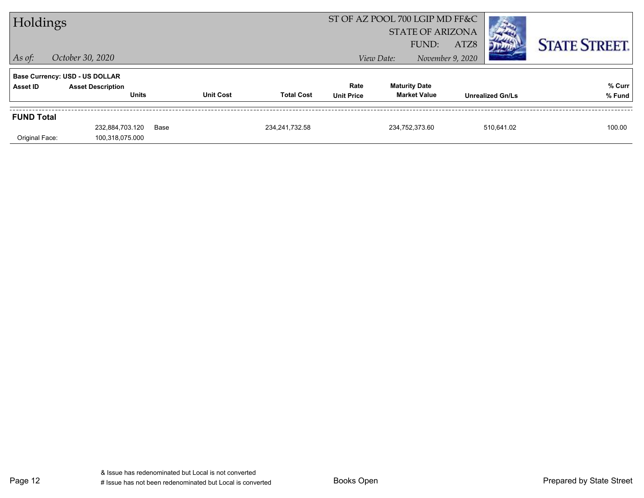| Holdings                              |                          |                  |                   |                   | ST OF AZ POOL 700 LGIP MD FF&C |                         |            |                      |
|---------------------------------------|--------------------------|------------------|-------------------|-------------------|--------------------------------|-------------------------|------------|----------------------|
|                                       |                          |                  |                   |                   | <b>STATE OF ARIZONA</b>        |                         |            |                      |
|                                       |                          |                  |                   |                   | FUND:                          | ATZ8                    |            | <b>STATE STREET.</b> |
| $\vert$ As of:                        | October 30, 2020         |                  |                   |                   | View Date:                     | November 9, 2020        |            |                      |
| <b>Base Currency: USD - US DOLLAR</b> |                          |                  |                   |                   |                                |                         |            |                      |
| Asset ID                              | <b>Asset Description</b> |                  |                   | Rate              | <b>Maturity Date</b>           |                         |            | % Curr               |
|                                       | <b>Units</b>             | <b>Unit Cost</b> | <b>Total Cost</b> | <b>Unit Price</b> | <b>Market Value</b>            | <b>Unrealized Gn/Ls</b> |            | % Fund               |
| <b>FUND Total</b>                     |                          |                  |                   |                   |                                |                         |            |                      |
|                                       | 232,884,703.120          | Base             | 234, 241, 732.58  |                   | 234.752.373.60                 |                         | 510.641.02 | 100.00               |
|                                       |                          |                  |                   |                   |                                |                         |            |                      |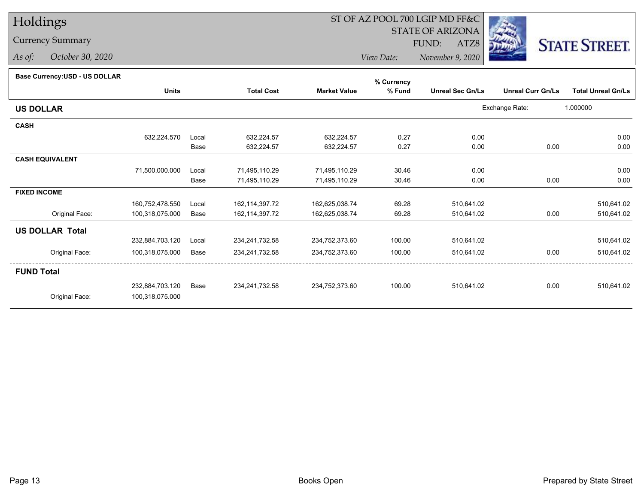### Currency Summary

*As of: October 30, 2020*

## ST OF AZ POOL 700 LGIP MD FF&C

 STATE OF ARIZONAFUND:

ATZ8



*View Date:November 9, 2020*

#### **Base Currency:USD - US DOLLAR**

|                 |                 |                   |                     | % Currency     |                         |                          |                           |
|-----------------|-----------------|-------------------|---------------------|----------------|-------------------------|--------------------------|---------------------------|
| <b>Units</b>    |                 | <b>Total Cost</b> | <b>Market Value</b> | % Fund         | <b>Unreal Sec Gn/Ls</b> | <b>Unreal Curr Gn/Ls</b> | <b>Total Unreal Gn/Ls</b> |
|                 |                 |                   |                     |                |                         |                          | 1.000000                  |
|                 |                 |                   |                     |                |                         |                          |                           |
| 632,224.570     | Local           | 632,224.57        | 632,224.57          | 0.27           | 0.00                    |                          | 0.00                      |
|                 | Base            | 632,224.57        | 632,224.57          | 0.27           | 0.00                    | 0.00                     | 0.00                      |
|                 |                 |                   |                     |                |                         |                          |                           |
| 71,500,000.000  | Local           | 71,495,110.29     | 71,495,110.29       | 30.46          | 0.00                    |                          | 0.00                      |
|                 | Base            | 71,495,110.29     | 71,495,110.29       | 30.46          | 0.00                    | 0.00                     | 0.00                      |
|                 |                 |                   |                     |                |                         |                          |                           |
| 160,752,478.550 | Local           | 162,114,397.72    | 162,625,038.74      | 69.28          | 510,641.02              |                          | 510,641.02                |
| 100,318,075.000 | Base            | 162,114,397.72    | 162,625,038.74      | 69.28          | 510,641.02              | 0.00                     | 510,641.02                |
|                 |                 |                   |                     |                |                         |                          |                           |
| 232,884,703.120 | Local           | 234,241,732.58    | 234,752,373.60      | 100.00         | 510,641.02              |                          | 510,641.02                |
| 100,318,075.000 | Base            | 234,241,732.58    | 234,752,373.60      | 100.00         | 510,641.02              | 0.00                     | 510,641.02                |
|                 |                 |                   |                     |                |                         |                          |                           |
|                 | Base            |                   |                     | 100.00         |                         | 0.00                     | 510,641.02                |
| 100,318,075.000 |                 |                   |                     |                |                         |                          |                           |
|                 | 232,884,703.120 |                   | 234,241,732.58      | 234,752,373.60 |                         | 510,641.02               | Exchange Rate:            |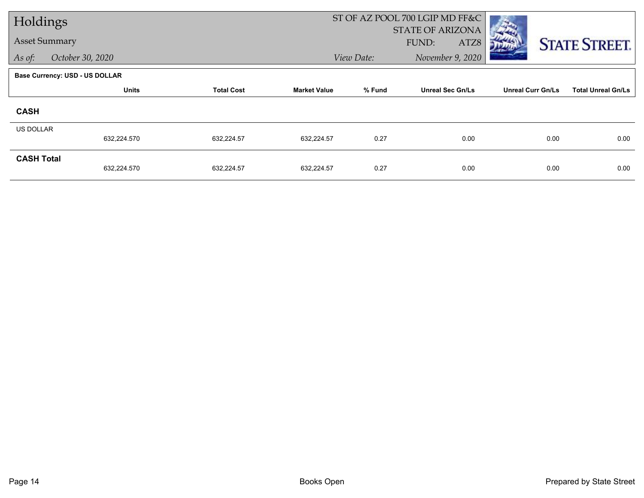| Holdings             |                                       |                   |                     |            | ST OF AZ POOL 700 LGIP MD FF&C           |                          |                           |
|----------------------|---------------------------------------|-------------------|---------------------|------------|------------------------------------------|--------------------------|---------------------------|
| <b>Asset Summary</b> |                                       |                   |                     |            | <b>STATE OF ARIZONA</b><br>FUND:<br>ATZ8 |                          | <b>STATE STREET.</b>      |
| As of:               | October 30, 2020                      |                   |                     | View Date: | November 9, 2020                         |                          |                           |
|                      | <b>Base Currency: USD - US DOLLAR</b> |                   |                     |            |                                          |                          |                           |
|                      | <b>Units</b>                          | <b>Total Cost</b> | <b>Market Value</b> | % Fund     | <b>Unreal Sec Gn/Ls</b>                  | <b>Unreal Curr Gn/Ls</b> | <b>Total Unreal Gn/Ls</b> |
| <b>CASH</b>          |                                       |                   |                     |            |                                          |                          |                           |
| <b>US DOLLAR</b>     |                                       |                   |                     |            |                                          |                          |                           |
|                      | 632,224.570                           | 632,224.57        | 632,224.57          | 0.27       | 0.00                                     | 0.00                     | 0.00                      |
| <b>CASH Total</b>    | 632,224.570                           | 632,224.57        | 632,224.57          | 0.27       | 0.00                                     | 0.00                     | 0.00                      |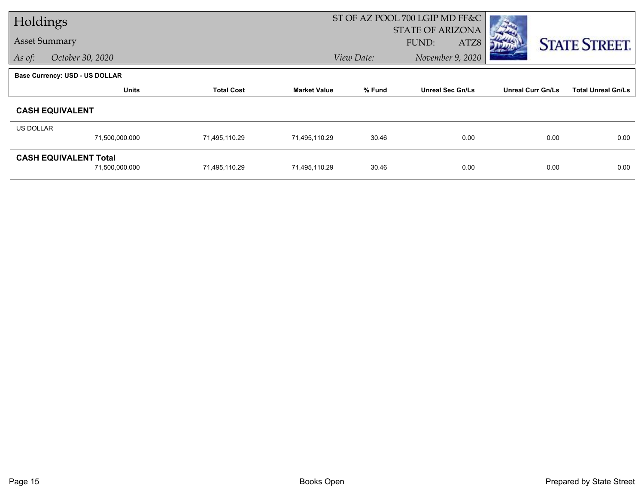| Holdings  |                                |                   |                     |            | ST OF AZ POOL 700 LGIP MD FF&C |                          |                           |
|-----------|--------------------------------|-------------------|---------------------|------------|--------------------------------|--------------------------|---------------------------|
|           |                                |                   |                     |            | <b>STATE OF ARIZONA</b>        |                          |                           |
|           | <b>Asset Summary</b>           |                   |                     |            | FUND:<br>ATZ8                  |                          | <b>STATE STREET.</b>      |
| As of:    | October 30, 2020               |                   |                     | View Date: | November 9, 2020               |                          |                           |
|           | Base Currency: USD - US DOLLAR |                   |                     |            |                                |                          |                           |
|           | <b>Units</b>                   | <b>Total Cost</b> | <b>Market Value</b> | % Fund     | <b>Unreal Sec Gn/Ls</b>        | <b>Unreal Curr Gn/Ls</b> | <b>Total Unreal Gn/Ls</b> |
|           | <b>CASH EQUIVALENT</b>         |                   |                     |            |                                |                          |                           |
| US DOLLAR |                                |                   |                     |            |                                |                          |                           |
|           | 71,500,000.000                 | 71,495,110.29     | 71,495,110.29       | 30.46      | 0.00                           | 0.00                     | 0.00                      |
|           | <b>CASH EQUIVALENT Total</b>   |                   |                     |            |                                |                          |                           |
|           | 71,500,000.000                 | 71,495,110.29     | 71,495,110.29       | 30.46      | 0.00                           | 0.00                     | 0.00                      |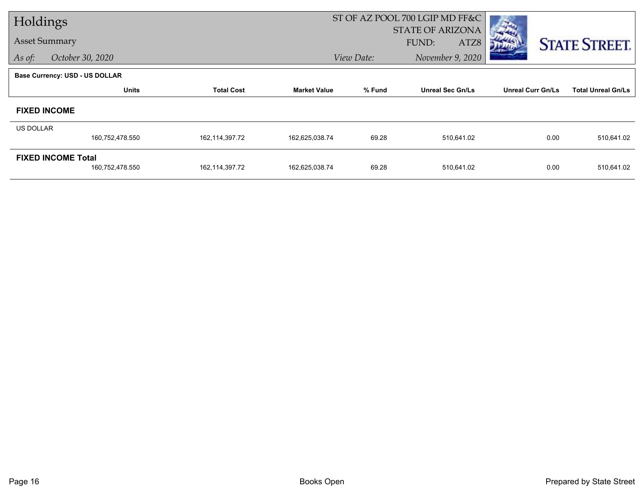| Holdings         |                                       |                   |                     |            | ST OF AZ POOL 700 LGIP MD FF&C |                          |                           |
|------------------|---------------------------------------|-------------------|---------------------|------------|--------------------------------|--------------------------|---------------------------|
|                  |                                       |                   |                     |            | <b>STATE OF ARIZONA</b>        |                          |                           |
|                  | <b>Asset Summary</b>                  |                   |                     |            | FUND:<br>ATZ8                  |                          | <b>STATE STREET.</b>      |
| As of:           | October 30, 2020                      |                   |                     | View Date: | November 9, 2020               |                          |                           |
|                  | <b>Base Currency: USD - US DOLLAR</b> |                   |                     |            |                                |                          |                           |
|                  | <b>Units</b>                          | <b>Total Cost</b> | <b>Market Value</b> | % Fund     | <b>Unreal Sec Gn/Ls</b>        | <b>Unreal Curr Gn/Ls</b> | <b>Total Unreal Gn/Ls</b> |
|                  | <b>FIXED INCOME</b>                   |                   |                     |            |                                |                          |                           |
| <b>US DOLLAR</b> |                                       |                   |                     |            |                                |                          |                           |
|                  | 160,752,478.550                       | 162,114,397.72    | 162,625,038.74      | 69.28      | 510,641.02                     | 0.00                     | 510,641.02                |
|                  | <b>FIXED INCOME Total</b>             |                   |                     |            |                                |                          |                           |
|                  | 160,752,478.550                       | 162,114,397.72    | 162,625,038.74      | 69.28      | 510,641.02                     | 0.00                     | 510,641.02                |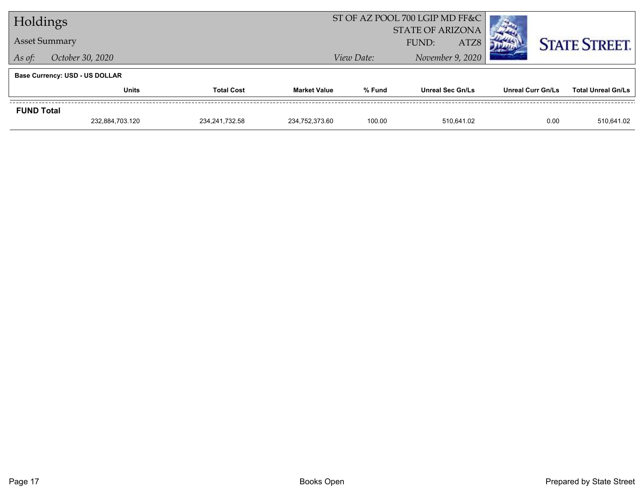| Holdings                              |                      |                   |                     | ST OF AZ POOL 700 LGIP MD FF&C |                         |      |                          |                           |
|---------------------------------------|----------------------|-------------------|---------------------|--------------------------------|-------------------------|------|--------------------------|---------------------------|
|                                       |                      |                   |                     |                                | <b>STATE OF ARIZONA</b> |      |                          |                           |
|                                       | <b>Asset Summary</b> |                   |                     |                                | FUND:                   | ATZ8 |                          | <b>STATE STREET.</b>      |
| As of:                                | October 30, 2020     |                   |                     | View Date:                     | November 9, 2020        |      |                          |                           |
| <b>Base Currency: USD - US DOLLAR</b> |                      |                   |                     |                                |                         |      |                          |                           |
|                                       | <b>Units</b>         | <b>Total Cost</b> | <b>Market Value</b> | % Fund                         | <b>Unreal Sec Gn/Ls</b> |      | <b>Unreal Curr Gn/Ls</b> | <b>Total Unreal Gn/Ls</b> |
| <b>FUND Total</b>                     |                      |                   |                     |                                |                         |      |                          |                           |
|                                       | 232,884,703.120      | 234.241.732.58    | 234.752.373.60      | 100.00                         | 510.641.02              |      | 0.00                     | 510,641.02                |